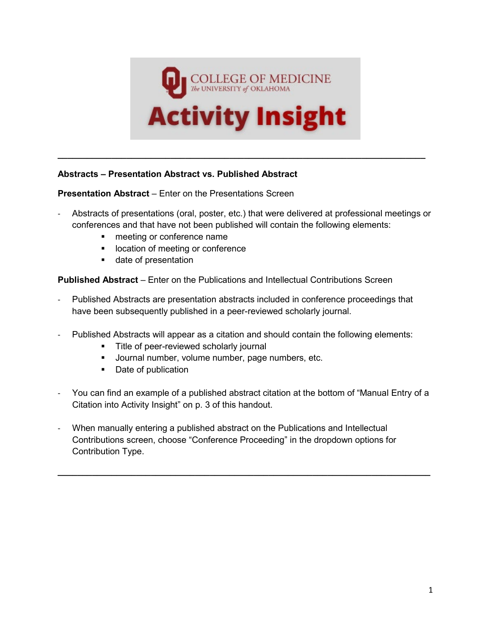

## **Abstracts – Presentation Abstract vs. Published Abstract**

**Presentation Abstract** – Enter on the Presentations Screen

- Abstracts of presentations (oral, poster, etc.) that were delivered at professional meetings or conferences and that have not been published will contain the following elements:

**\_\_\_\_\_\_\_\_\_\_\_\_\_\_\_\_\_\_\_\_\_\_\_\_\_\_\_\_\_\_\_\_\_\_\_\_\_\_\_\_\_\_\_\_\_\_\_\_\_\_\_\_\_\_\_\_\_\_\_\_\_\_\_\_\_\_\_\_\_\_\_\_\_\_\_**

- **n** meeting or conference name
- **IDUCATE:** location of meeting or conference
- **date of presentation**

**Published Abstract** – Enter on the Publications and Intellectual Contributions Screen

- Published Abstracts are presentation abstracts included in conference proceedings that have been subsequently published in a peer-reviewed scholarly journal.
- Published Abstracts will appear as a citation and should contain the following elements:
	- **Title of peer-reviewed scholarly journal**
	- **Journal number, volume number, page numbers, etc.**
	- Date of publication
- You can find an example of a published abstract citation at the bottom of "Manual Entry of a Citation into Activity Insight" on p. 3 of this handout.

**\_\_\_\_\_\_\_\_\_\_\_\_\_\_\_\_\_\_\_\_\_\_\_\_\_\_\_\_\_\_\_\_\_\_\_\_\_\_\_\_\_\_\_\_\_\_\_\_\_\_\_\_\_\_\_\_\_\_\_\_\_\_\_\_\_\_\_\_\_\_\_\_\_\_\_\_**

When manually entering a published abstract on the Publications and Intellectual Contributions screen, choose "Conference Proceeding" in the dropdown options for Contribution Type.